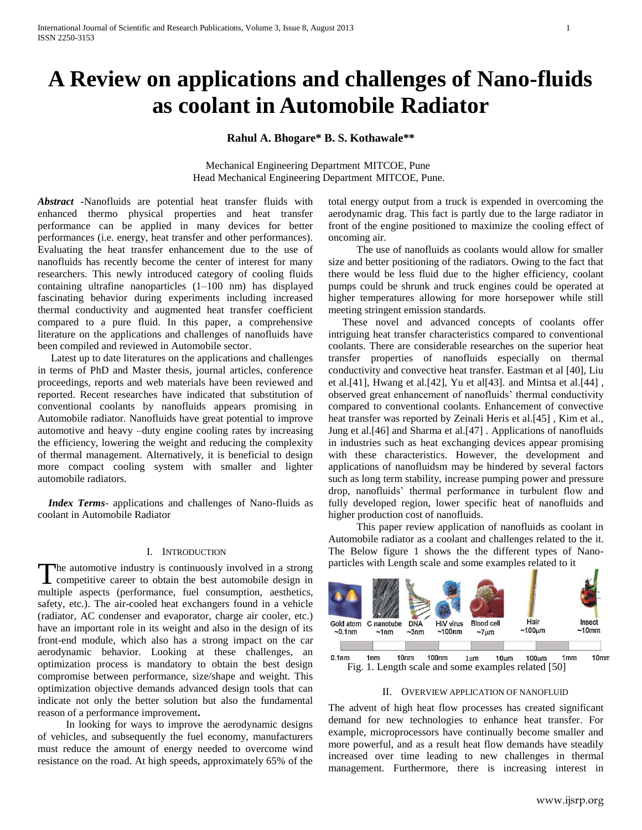# **A Review on applications and challenges of Nano-fluids as coolant in Automobile Radiator**

**Rahul A. Bhogare\* B. S. Kothawale\*\***

 Mechanical Engineering Department MITCOE, Pune Head Mechanical Engineering Department MITCOE, Pune.

*Abstract* **-**Nanofluids are potential heat transfer fluids with enhanced thermo physical properties and heat transfer performance can be applied in many devices for better performances (i.e. energy, heat transfer and other performances). Evaluating the heat transfer enhancement due to the use of nanofluids has recently become the center of interest for many researchers. This newly introduced category of cooling fluids containing ultrafine nanoparticles (1–100 nm) has displayed fascinating behavior during experiments including increased thermal conductivity and augmented heat transfer coefficient compared to a pure fluid. In this paper, a comprehensive literature on the applications and challenges of nanofluids have been compiled and reviewed in Automobile sector.

 Latest up to date literatures on the applications and challenges in terms of PhD and Master thesis, journal articles, conference proceedings, reports and web materials have been reviewed and reported. Recent researches have indicated that substitution of conventional coolants by nanofluids appears promising in Automobile radiator. Nanofluids have great potential to improve automotive and heavy –duty engine cooling rates by increasing the efficiency, lowering the weight and reducing the complexity of thermal management. Alternatively, it is beneficial to design more compact cooling system with smaller and lighter automobile radiators.

 *Index Terms*- applications and challenges of Nano-fluids as coolant in Automobile Radiator

#### I. INTRODUCTION

The automotive industry is continuously involved in a strong competitive career to obtain the best automobile design in competitive career to obtain the best automobile design in multiple aspects (performance, fuel consumption, aesthetics, safety, etc.). The air-cooled heat exchangers found in a vehicle (radiator, AC condenser and evaporator, charge air cooler, etc.) have an important role in its weight and also in the design of its front-end module, which also has a strong impact on the car aerodynamic behavior. Looking at these challenges, an optimization process is mandatory to obtain the best design compromise between performance, size/shape and weight. This optimization objective demands advanced design tools that can indicate not only the better solution but also the fundamental reason of a performance improvement**.** 

In looking for ways to improve the aerodynamic designs of vehicles, and subsequently the fuel economy, manufacturers must reduce the amount of energy needed to overcome wind resistance on the road. At high speeds, approximately 65% of the

total energy output from a truck is expended in overcoming the aerodynamic drag. This fact is partly due to the large radiator in front of the engine positioned to maximize the cooling effect of oncoming air.

The use of nanofluids as coolants would allow for smaller size and better positioning of the radiators. Owing to the fact that there would be less fluid due to the higher efficiency, coolant pumps could be shrunk and truck engines could be operated at higher temperatures allowing for more horsepower while still meeting stringent emission standards.

These novel and advanced concepts of coolants offer intriguing heat transfer characteristics compared to conventional coolants. There are considerable researches on the superior heat transfer properties of nanofluids especially on thermal conductivity and convective heat transfer. Eastman et al [40], Liu et al.[41], Hwang et al.[42], Yu et al[43]. and Mintsa et al.[44] , observed great enhancement of nanofluids' thermal conductivity compared to conventional coolants. Enhancement of convective heat transfer was reported by Zeinali Heris et al.[45], Kim et al., Jung et al.[46] and Sharma et al.[47] . Applications of nanofluids in industries such as heat exchanging devices appear promising with these characteristics. However, the development and applications of nanofluidsm may be hindered by several factors such as long term stability, increase pumping power and pressure drop, nanofluids' thermal performance in turbulent flow and fully developed region, lower specific heat of nanofluids and higher production cost of nanofluids.

This paper review application of nanofluids as coolant in Automobile radiator as a coolant and challenges related to the it. The Below figure 1 shows the the different types of Nanoparticles with Length scale and some examples related to it



m 1nm 10nm 100nm 1 $\mu$ m 10 $\mu$ m 100 $\mu$ m 11<br>Fig. 1. Length scale and some examples related [50]

#### II. OVERVIEW APPLICATION OF NANOFLUID

The advent of high heat flow processes has created significant demand for new technologies to enhance heat transfer. For example, microprocessors have continually become smaller and more powerful, and as a result heat flow demands have steadily increased over time leading to new challenges in thermal management. Furthermore, there is increasing interest in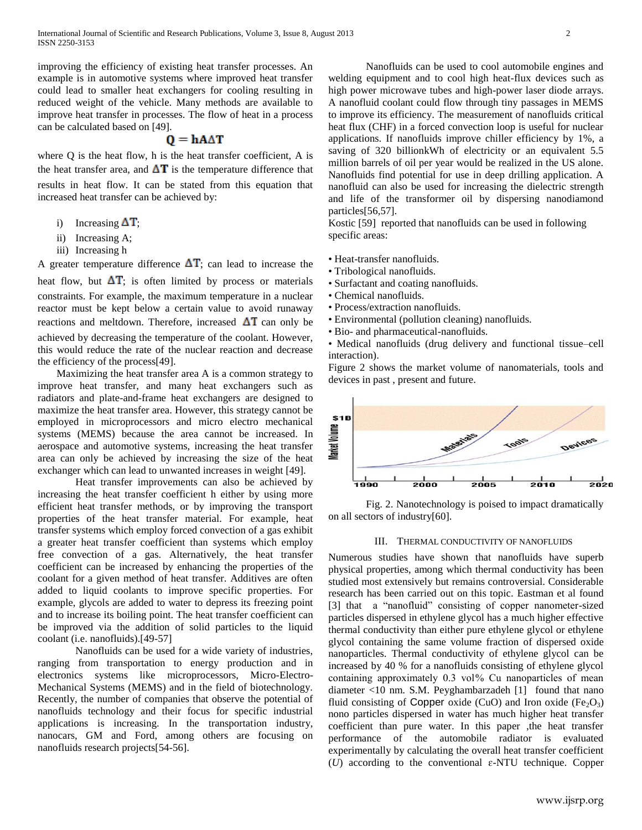improving the efficiency of existing heat transfer processes. An example is in automotive systems where improved heat transfer could lead to smaller heat exchangers for cooling resulting in reduced weight of the vehicle. Many methods are available to improve heat transfer in processes. The flow of heat in a process can be calculated based on [49].

# $0 = hA\Delta T$

where Q is the heat flow, h is the heat transfer coefficient, A is the heat transfer area, and  $\Delta T$  is the temperature difference that results in heat flow. It can be stated from this equation that increased heat transfer can be achieved by:

- i) Increasing  $\Delta T$ ;
- ii) Increasing A;
- iii) Increasing h

A greater temperature difference  $\Delta T$ ; can lead to increase the heat flow, but  $\Delta T$ ; is often limited by process or materials constraints. For example, the maximum temperature in a nuclear reactor must be kept below a certain value to avoid runaway reactions and meltdown. Therefore, increased  $\Delta T$  can only be achieved by decreasing the temperature of the coolant. However, this would reduce the rate of the nuclear reaction and decrease the efficiency of the process[49].

Maximizing the heat transfer area A is a common strategy to improve heat transfer, and many heat exchangers such as radiators and plate-and-frame heat exchangers are designed to maximize the heat transfer area. However, this strategy cannot be employed in microprocessors and micro electro mechanical systems (MEMS) because the area cannot be increased. In aerospace and automotive systems, increasing the heat transfer area can only be achieved by increasing the size of the heat exchanger which can lead to unwanted increases in weight [49].

Heat transfer improvements can also be achieved by increasing the heat transfer coefficient h either by using more efficient heat transfer methods, or by improving the transport properties of the heat transfer material. For example, heat transfer systems which employ forced convection of a gas exhibit a greater heat transfer coefficient than systems which employ free convection of a gas. Alternatively, the heat transfer coefficient can be increased by enhancing the properties of the coolant for a given method of heat transfer. Additives are often added to liquid coolants to improve specific properties. For example, glycols are added to water to depress its freezing point and to increase its boiling point. The heat transfer coefficient can be improved via the addition of solid particles to the liquid coolant (i.e. nanofluids).[49-57]

Nanofluids can be used for a wide variety of industries, ranging from transportation to energy production and in electronics systems like microprocessors, Micro-Electro-Mechanical Systems (MEMS) and in the field of biotechnology. Recently, the number of companies that observe the potential of nanofluids technology and their focus for specific industrial applications is increasing. In the transportation industry, nanocars, GM and Ford, among others are focusing on nanofluids research projects[54-56].

Nanofluids can be used to cool automobile engines and welding equipment and to cool high heat-flux devices such as high power microwave tubes and high-power laser diode arrays. A nanofluid coolant could flow through tiny passages in MEMS to improve its efficiency. The measurement of nanofluids critical heat flux (CHF) in a forced convection loop is useful for nuclear applications. If nanofluids improve chiller efficiency by 1%, a saving of 320 billionkWh of electricity or an equivalent 5.5 million barrels of oil per year would be realized in the US alone. Nanofluids find potential for use in deep drilling application. A nanofluid can also be used for increasing the dielectric strength and life of the transformer oil by dispersing nanodiamond particles[56,57].

Kostic [59] reported that nanofluids can be used in following specific areas:

- Heat-transfer nanofluids.
- Tribological nanofluids.
- Surfactant and coating nanofluids.
- Chemical nanofluids.
- Process/extraction nanofluids.
- Environmental (pollution cleaning) nanofluids.
- Bio- and pharmaceutical-nanofluids.

• Medical nanofluids (drug delivery and functional tissue–cell interaction).

Figure 2 shows the market volume of nanomaterials, tools and devices in past , present and future.



Fig. 2. Nanotechnology is poised to impact dramatically on all sectors of industry[60].

## III. THERMAL CONDUCTIVITY OF NANOFLUIDS

Numerous studies have shown that nanofluids have superb physical properties, among which thermal conductivity has been studied most extensively but remains controversial. Considerable research has been carried out on this topic. Eastman et al found [3] that a "nanofluid" consisting of copper nanometer-sized particles dispersed in ethylene glycol has a much higher effective thermal conductivity than either pure ethylene glycol or ethylene glycol containing the same volume fraction of dispersed oxide nanoparticles. Thermal conductivity of ethylene glycol can be increased by 40 % for a nanofluids consisting of ethylene glycol containing approximately 0.3 vol<sup>%</sup> Cu nanoparticles of mean diameter <10 nm. S.M. Peyghambarzadeh [1] found that nano fluid consisting of Copper oxide (CuO) and Iron oxide (Fe<sub>2</sub>O<sub>3</sub>) nono particles dispersed in water has much higher heat transfer coefficient than pure water. In this paper ,the heat transfer performance of the automobile radiator is evaluated experimentally by calculating the overall heat transfer coefficient ( $U$ ) according to the conventional  $\varepsilon$ -NTU technique. Copper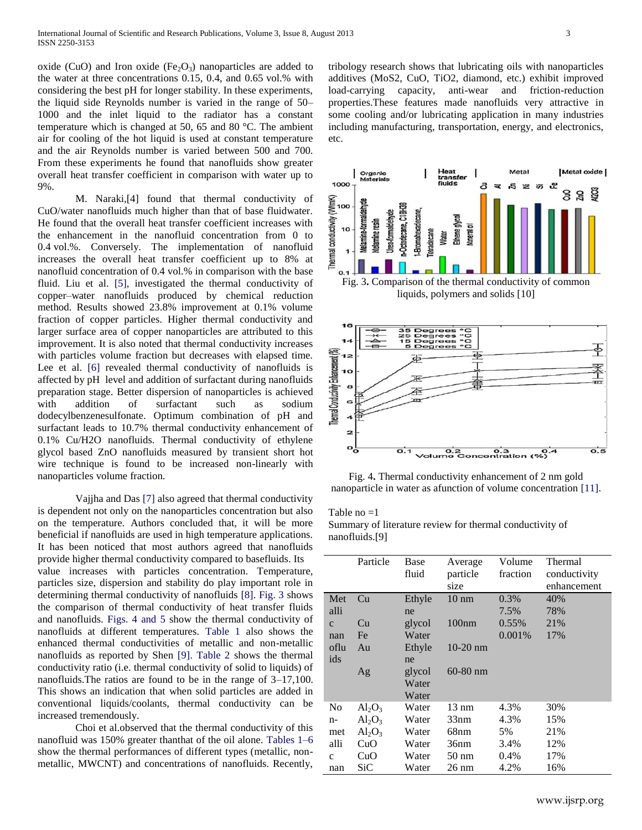oxide (CuO) and Iron oxide (Fe<sub>2</sub>O<sub>3</sub>) nanoparticles are added to the water at three concentrations 0.15, 0.4, and 0.65 vol.% with considering the best pH for longer stability. In these experiments, the liquid side Reynolds number is varied in the range of 50– 1000 and the inlet liquid to the radiator has a constant temperature which is changed at 50, 65 and 80 °C. The ambient air for cooling of the hot liquid is used at constant temperature and the air Reynolds number is varied between 500 and 700. From these experiments he found that nanofluids show greater overall heat transfer coefficient in comparison with water up to 9%.

M. Naraki,[4] found that thermal conductivity of CuO/water nanofluids much higher than that of base fluidwater. He found that the overall heat transfer coefficient increases with the enhancement in the nanofluid concentration from 0 to 0.4 vol.%. Conversely. The implementation of nanofluid increases the overall heat transfer coefficient up to 8% at nanofluid concentration of 0.4 vol.% in comparison with the base fluid. Liu et al. [5], investigated the thermal conductivity of copper–water nanofluids produced by chemical reduction method. Results showed 23.8% improvement at 0.1% volume fraction of copper particles. Higher thermal conductivity and larger surface area of copper nanoparticles are attributed to this improvement. It is also noted that thermal conductivity increases with particles volume fraction but decreases with elapsed time. Lee et al. [6] revealed thermal conductivity of nanofluids is affected by pH level and addition of surfactant during nanofluids preparation stage. Better dispersion of nanoparticles is achieved with addition of surfactant such as sodium dodecylbenzenesulfonate. Optimum combination of pH and surfactant leads to 10.7% thermal conductivity enhancement of 0.1% Cu/H2O nanofluids. Thermal conductivity of ethylene glycol based ZnO nanofluids measured by transient short hot wire technique is found to be increased non-linearly with nanoparticles volume fraction.

Vajjha and Das [7] also agreed that thermal conductivity is dependent not only on the nanoparticles concentration but also on the temperature. Authors concluded that, it will be more beneficial if nanofluids are used in high temperature applications. It has been noticed that most authors agreed that nanofluids provide higher thermal conductivity compared to basefluids. Its value increases with particles concentration. Temperature, particles size, dispersion and stability do play important role in determining thermal conductivity of nanofluids [8]. Fig. 3 shows the comparison of thermal conductivity of heat transfer fluids and nanofluids. Figs. 4 and 5 show the thermal conductivity of nanofluids at different temperatures. Table 1 also shows the enhanced thermal conductivities of metallic and non-metallic nanofluids as reported by Shen [9]. Table 2 shows the thermal conductivity ratio (i.e. thermal conductivity of solid to liquids) of nanofluids.The ratios are found to be in the range of 3–17,100. This shows an indication that when solid particles are added in conventional liquids/coolants, thermal conductivity can be increased tremendously.

Choi et al.observed that the thermal conductivity of this nanofluid was 150% greater thanthat of the oil alone. Tables 1–6 show the thermal performances of different types (metallic, nonmetallic, MWCNT) and concentrations of nanofluids. Recently,

tribology research shows that lubricating oils with nanoparticles additives (MoS2, CuO, TiO2, diamond, etc.) exhibit improved load-carrying capacity, anti-wear and friction-reduction properties.These features made nanofluids very attractive in some cooling and/or lubricating application in many industries including manufacturing, transportation, energy, and electronics, etc.





Fig. 4**.** Thermal conductivity enhancement of 2 nm gold nanoparticle in water as afunction of volume concentration [11].

Table no  $=1$ 

| Summary of literature review for thermal conductivity of |  |  |  |
|----------------------------------------------------------|--|--|--|
| nanofluids.[9]                                           |  |  |  |

|                | Particle  | Base   | Average          | Volume   | Thermal      |
|----------------|-----------|--------|------------------|----------|--------------|
|                |           | fluid  | particle         | fraction | conductivity |
|                |           |        | size             |          | enhancement  |
| Met            | Cu        | Ethyle | $10 \text{ nm}$  | 0.3%     | 40%          |
| alli           |           | ne     |                  | 7.5%     | 78%          |
| $\mathbf{C}$   | Cu        | glycol | 100nm            | 0.55%    | 21%          |
| nan            | Fe        | Water  |                  | 0.001%   | 17%          |
| oflu           | Au        | Ethyle | $10-20$ nm       |          |              |
| ids            |           | ne     |                  |          |              |
|                | Ag        | glycol | $60-80$ nm       |          |              |
|                |           | Water  |                  |          |              |
|                |           | Water  |                  |          |              |
| N <sub>0</sub> | $Al_2O_3$ | Water  | $13 \text{ nm}$  | 4.3%     | 30%          |
| $n-$           | $Al_2O_3$ | Water  | 33nm             | 4.3%     | 15%          |
| met            | $Al_2O_3$ | Water  | 68 <sub>nm</sub> | 5%       | 21%          |
| alli           | CuO       | Water  | 36nm             | 3.4%     | 12%          |
| $\mathbf{C}$   | CuO       | Water  | $50 \text{ nm}$  | 0.4%     | 17%          |
| nan            | SiC       | Water  | $26 \text{ nm}$  | 4.2%     | 16%          |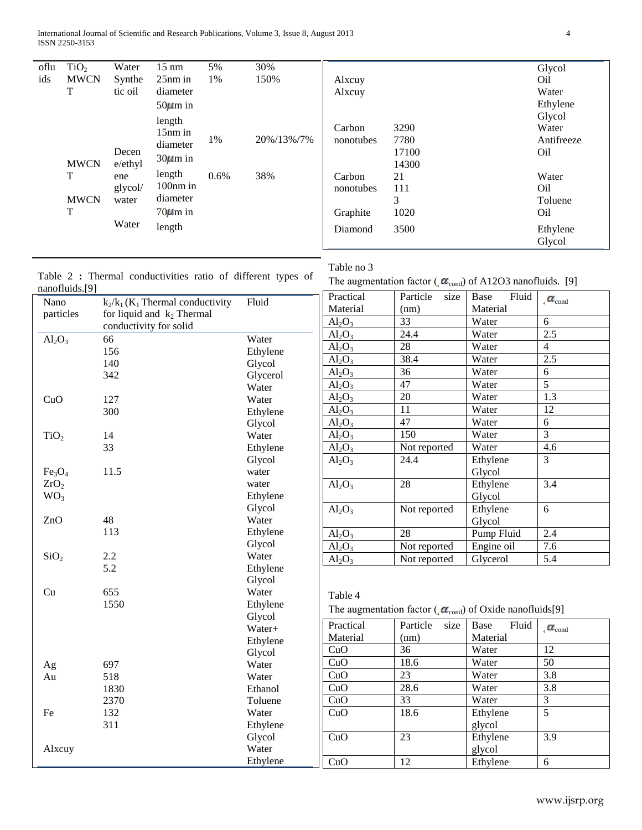| oflu | TiO <sub>2</sub> | Water   | $15 \text{ nm}$ | 5%   | 30%        |           |       | Glycol          |
|------|------------------|---------|-----------------|------|------------|-----------|-------|-----------------|
| ids  | <b>MWCN</b>      | Synthe  | $25nm$ in       | 1%   | 150%       | Alxcuy    |       | Oil             |
|      | T                | tic oil | diameter        |      |            | Alxcuy    |       | Water           |
|      |                  |         | $50 \mu m$ in   |      |            |           |       | Ethylene        |
|      |                  |         | length          |      |            |           |       | Glycol          |
|      |                  |         | $15nm$ in       |      |            | Carbon    | 3290  | Water           |
|      |                  |         | diameter        | 1%   | 20%/13%/7% | nonotubes | 7780  | Antifreeze      |
|      |                  | Decen   |                 |      |            |           | 17100 | O <sub>il</sub> |
|      | <b>MWCN</b>      | e/ethyl | $30\mu m$ in    |      |            |           | 14300 |                 |
|      | T                | ene     | length          | 0.6% | 38%        | Carbon    | 21    | Water           |
|      |                  | glycol/ | $100nm$ in      |      |            | nonotubes | 111   | O <sub>il</sub> |
|      | <b>MWCN</b>      | water   | diameter        |      |            |           | 3     | Toluene         |
|      | T                |         | $70 \mu m$ in   |      |            | Graphite  | 1020  | O <sub>il</sub> |
|      |                  | Water   | length          |      |            | Diamond   | 3500  | Ethylene        |
|      |                  |         |                 |      |            |           |       | Glycol          |

Table 2 **:** Thermal conductivities ratio of different types of nanofluids.[9]

Table no 3

The augmentation factor ( $\alpha_{\text{cond}}$ ) of A12O3 nanofluids. [9]

| $n$ anorrunus. $\lfloor z \rfloor$ | $k_2/k_1$ (K <sub>1</sub> Thermal conductivity | Fluid    | Practical               | Particle        |
|------------------------------------|------------------------------------------------|----------|-------------------------|-----------------|
| Nano                               | for liquid and $k_2$ Thermal                   |          | Material                | (nm)            |
| particles                          | conductivity for solid                         |          | $Al_2O_3$               | 33              |
| $Al_2O_3$                          | 66                                             | Water    | $Al_2O_3$               | 24.4            |
|                                    | 156                                            | Ethylene | $Al_2O_3$               | 28              |
|                                    | 140                                            | Glycol   | $Al_2O_3$               | 38.4            |
|                                    | 342                                            | Glycerol | $Al_2O_3$               | 36              |
|                                    |                                                | Water    | $Al_2O_3$               | 47              |
| CuO                                | 127                                            | Water    | $Al_2O_3$               | 20              |
|                                    | 300                                            | Ethylene | $Al_2O_3$               | 11              |
|                                    |                                                | Glycol   | $Al_2O_3$               | 47              |
| TiO <sub>2</sub>                   | 14                                             | Water    | $Al_2O_3$               | 150             |
|                                    | 33                                             | Ethylene | $Al_2O_3$               | Not rep         |
|                                    |                                                | Glycol   | $Al_2O_3$               | 24.4            |
| Fe <sub>3</sub> O <sub>4</sub>     | 11.5                                           | water    |                         |                 |
| ZrO <sub>2</sub>                   |                                                | water    | $Al_2O_3$               | 28              |
| WO <sub>3</sub>                    |                                                | Ethylene |                         |                 |
|                                    |                                                | Glycol   | $Al_2O_3$               | Not rep         |
| ZnO                                | 48                                             | Water    |                         |                 |
|                                    | 113                                            | Ethylene | $Al_2O_3$               | $\overline{28}$ |
|                                    |                                                | Glycol   | $Al_2O_3$               | Not rep         |
| SiO <sub>2</sub>                   | 2.2                                            | Water    | $Al_2O_3$               | Not rep         |
|                                    | 5.2                                            | Ethylene |                         |                 |
|                                    |                                                | Glycol   |                         |                 |
| Cu                                 | 655                                            | Water    | Table 4                 |                 |
|                                    | 1550                                           | Ethylene | The augmentation factor |                 |
|                                    |                                                | Glycol   |                         |                 |
|                                    |                                                | Water+   | Practical               | Particle        |
|                                    |                                                | Ethylene | Material                | (nm)            |
|                                    |                                                | Glycol   | CuO                     | 36              |
| Ag                                 | 697                                            | Water    | CuO                     | 18.6            |
| Au                                 | 518                                            | Water    | CuO                     | 23              |
|                                    | 1830                                           | Ethanol  | CuO                     | 28.6            |
|                                    | 2370                                           | Toluene  | CuO                     | 33              |
| Fe                                 | 132                                            | Water    | CuO                     | 18.6            |
|                                    | 311                                            | Ethylene |                         |                 |
|                                    |                                                | Glycol   | CuO                     | 23              |
| Alxcuy                             |                                                | Water    |                         |                 |
|                                    |                                                | Ethylene | CuO                     | 12              |

| Practical               | size<br>Particle | Fluid<br>Base | $\alpha_{\rm cond}$ |
|-------------------------|------------------|---------------|---------------------|
| Material                | (nm)             | Material      |                     |
| $Al_2O_3$               | 33               | Water         | 6                   |
| $\text{Al}_2\text{O}_3$ | 24.4             | Water         | 2.5                 |
| $Al_2O_3$               | 28               | Water         | 4                   |
| $Al_2O_3$               | 38.4             | Water         | 2.5                 |
| $\text{Al}_2\text{O}_3$ | 36               | Water         | 6                   |
| $Al_2O_3$               | 47               | Water         | 5                   |
| $Al_2O_3$               | 20               | Water         | 1.3                 |
| $Al_2O_3$               | 11               | Water         | 12                  |
| $Al_2O_3$               | 47               | Water         | 6                   |
| $Al_2O_3$               | 150              | Water         | 3                   |
| $Al_2O_3$               | Not reported     | Water         | 4.6                 |
| $Al_2O_3$               | 24.4             | Ethylene      | 3                   |
|                         |                  | Glycol        |                     |
| $Al_2O_3$               | 28               | Ethylene      | 3.4                 |
|                         |                  | Glycol        |                     |
| $Al_2O_3$               | Not reported     | Ethylene      | 6                   |
|                         |                  | Glycol        |                     |
| $Al_2O_3$               | 28               | Pump Fluid    | 2.4                 |
| $Al_2O_3$               | Not reported     | Engine oil    | 7.6                 |
| $Al_2O_3$               | Not reported     | Glycerol      | 5.4                 |

| The augmentation factor ( $\alpha_{\text{cond}}$ ) of Oxide nanofluids[9] |  |  |  |
|---------------------------------------------------------------------------|--|--|--|
|---------------------------------------------------------------------------|--|--|--|

| Practical | size<br>Particle | Fluid<br>Base | $\alpha_{\text{cond}}$ |
|-----------|------------------|---------------|------------------------|
| Material  | (nm)             | Material      |                        |
| CuO       | 36               | Water         | 12                     |
| CuO       | 18.6             | Water         | 50                     |
| CuO       | 23               | Water         | 3.8                    |
| CuO       | 28.6             | Water         | 3.8                    |
| CuO       | 33               | Water         | 3                      |
| CuO       | 18.6             | Ethylene      | 5                      |
|           |                  | glycol        |                        |
| CuO       | 23               | Ethylene      | 3.9                    |
|           |                  | glycol        |                        |
| CuO       | 12               | Ethylene      | 6                      |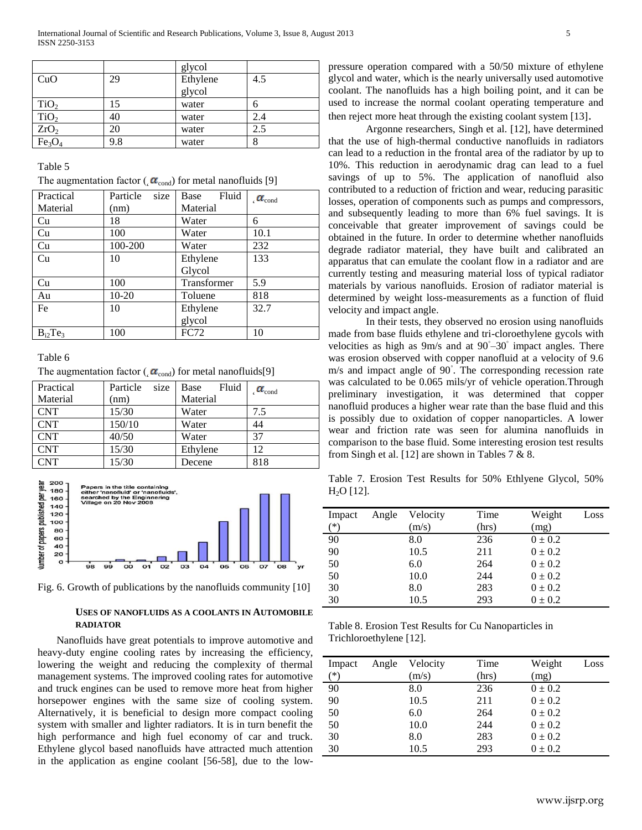|                                |     | glycol   |     |
|--------------------------------|-----|----------|-----|
| CuO                            | 29  | Ethylene | 4.5 |
|                                |     | glycol   |     |
| TiO <sub>2</sub>               | 15  | water    |     |
| TiO <sub>2</sub>               | 40  | water    | 2.4 |
| ZrO <sub>2</sub>               | 20  | water    | 2.5 |
| Fe <sub>3</sub> O <sub>4</sub> | 9.8 | water    | 8   |

Table 5

| The augmentation factor ( $\alpha_{\text{cond}}$ ) for metal nanofluids [9] |  |  |  |  |
|-----------------------------------------------------------------------------|--|--|--|--|
|-----------------------------------------------------------------------------|--|--|--|--|

| Practical                          | size<br>Particle | Fluid<br>Base | $\alpha_{\text{cond}}$ |
|------------------------------------|------------------|---------------|------------------------|
| Material                           | (nm)             | Material      |                        |
| Cu                                 | 18               | Water         | 6                      |
| Cu                                 | 100              | Water         | 10.1                   |
| Cu                                 | 100-200          | Water         | 232                    |
| Cu                                 | 10               | Ethylene      | 133                    |
|                                    |                  | Glycol        |                        |
| Cu                                 | 100              | Transformer   | 5.9                    |
| Au                                 | $10-20$          | Toluene       | 818                    |
| Fe                                 | 10               | Ethylene      | 32.7                   |
|                                    |                  | glycol        |                        |
| $B_i$ <sub>7</sub> Te <sub>3</sub> | 100              | <b>FC72</b>   | 10                     |

Table 6

The augmentation factor ( $\alpha_{\text{cond}}$ ) for metal nanofluids[9]

| Practical  | Particle<br>size | Fluid<br>Base | $\alpha_{\text{cond}}$ |
|------------|------------------|---------------|------------------------|
| Material   | (nm)             | Material      |                        |
| <b>CNT</b> | 15/30            | Water         | 7.5                    |
| <b>CNT</b> | 150/10           | Water         | 44                     |
| <b>CNT</b> | 40/50            | Water         | 37                     |
| <b>CNT</b> | 15/30            | Ethylene      | 12                     |
| <b>CNT</b> | 15/30            | Decene        | 818                    |



Fig. 6. Growth of publications by the nanofluids community [10]

## **USES OF NANOFLUIDS AS A COOLANTS IN AUTOMOBILE RADIATOR**

Nanofluids have great potentials to improve automotive and heavy-duty engine cooling rates by increasing the efficiency, lowering the weight and reducing the complexity of thermal management systems. The improved cooling rates for automotive and truck engines can be used to remove more heat from higher horsepower engines with the same size of cooling system. Alternatively, it is beneficial to design more compact cooling system with smaller and lighter radiators. It is in turn benefit the high performance and high fuel economy of car and truck. Ethylene glycol based nanofluids have attracted much attention in the application as engine coolant [56-58], due to the lowpressure operation compared with a 50/50 mixture of ethylene glycol and water, which is the nearly universally used automotive coolant. The nanofluids has a high boiling point, and it can be used to increase the normal coolant operating temperature and then reject more heat through the existing coolant system [13].

Argonne researchers, Singh et al. [12], have determined that the use of high-thermal conductive nanofluids in radiators can lead to a reduction in the frontal area of the radiator by up to 10%. This reduction in aerodynamic drag can lead to a fuel savings of up to 5%. The application of nanofluid also contributed to a reduction of friction and wear, reducing parasitic losses, operation of components such as pumps and compressors, and subsequently leading to more than 6% fuel savings. It is conceivable that greater improvement of savings could be obtained in the future. In order to determine whether nanofluids degrade radiator material, they have built and calibrated an apparatus that can emulate the coolant flow in a radiator and are currently testing and measuring material loss of typical radiator materials by various nanofluids. Erosion of radiator material is determined by weight loss-measurements as a function of fluid velocity and impact angle.

In their tests, they observed no erosion using nanofluids made from base fluids ethylene and tri-cloroethylene gycols with velocities as high as 9m/s and at 90°–30° impact angles. There was erosion observed with copper nanofluid at a velocity of 9.6 m/s and impact angle of 90°. The corresponding recession rate was calculated to be 0.065 mils/yr of vehicle operation.Through preliminary investigation, it was determined that copper nanofluid produces a higher wear rate than the base fluid and this is possibly due to oxidation of copper nanoparticles. A lower wear and friction rate was seen for alumina nanofluids in comparison to the base fluid. Some interesting erosion test results from Singh et al. [12] are shown in Tables 7 & 8.

Table 7. Erosion Test Results for 50% Ethlyene Glycol, 50%  $H<sub>2</sub>O$  [12].

| Impact<br>$(*)$ | Angle | Velocity<br>(m/s) | Time<br>(hrs) | Weight<br>(mg) | Loss |
|-----------------|-------|-------------------|---------------|----------------|------|
|                 |       |                   |               |                |      |
| 90              |       | 8.0               | 236           | $0 \pm 0.2$    |      |
| 90              |       | 10.5              | 211           | $0 \pm 0.2$    |      |
| 50              |       | 6.0               | 264           | $0 \pm 0.2$    |      |
| 50              |       | 10.0              | 244           | $0 \pm 0.2$    |      |
| 30              |       | 8.0               | 283           | $0 \pm 0.2$    |      |
| 30              |       | 10.5              | 293           | $0 \pm 0.2$    |      |

Table 8. Erosion Test Results for Cu Nanoparticles in Trichloroethylene [12].

| Impact | Angle | Velocity | Time  | Weight      | Loss |
|--------|-------|----------|-------|-------------|------|
| (*`    |       | (m/s)    | (hrs) | (mg)        |      |
| 90     |       | 8.0      | 236   | $0 \pm 0.2$ |      |
| 90     |       | 10.5     | 211   | $0 \pm 0.2$ |      |
| 50     |       | 6.0      | 264   | $0 \pm 0.2$ |      |
| 50     |       | 10.0     | 244   | $0 \pm 0.2$ |      |
| 30     |       | 8.0      | 283   | $0 \pm 0.2$ |      |
| 30     |       | 10.5     | 293   | $0 \pm 0.2$ |      |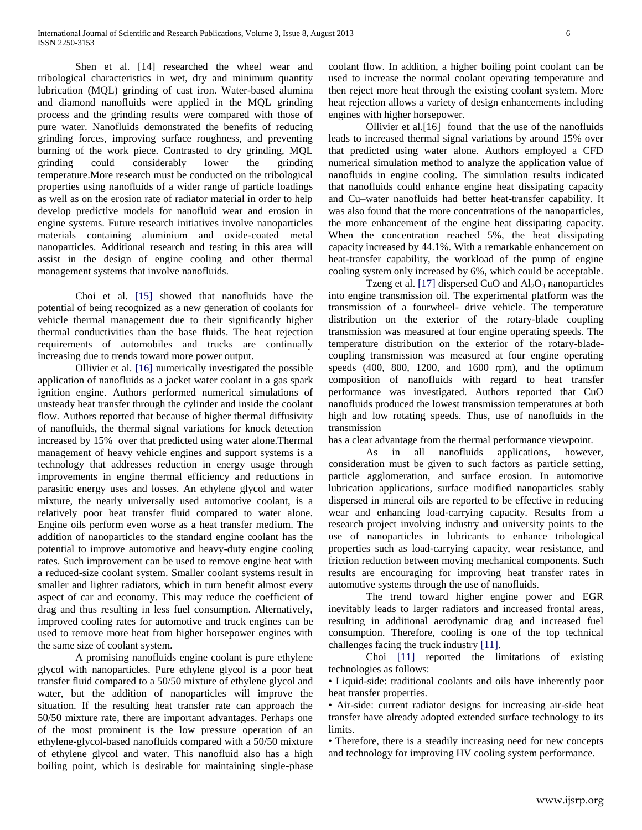Shen et al. [14] researched the wheel wear and tribological characteristics in wet, dry and minimum quantity lubrication (MQL) grinding of cast iron. Water-based alumina and diamond nanofluids were applied in the MQL grinding process and the grinding results were compared with those of pure water. Nanofluids demonstrated the benefits of reducing grinding forces, improving surface roughness, and preventing burning of the work piece. Contrasted to dry grinding, MQL grinding could considerably lower the grinding temperature.More research must be conducted on the tribological properties using nanofluids of a wider range of particle loadings as well as on the erosion rate of radiator material in order to help develop predictive models for nanofluid wear and erosion in engine systems. Future research initiatives involve nanoparticles materials containing aluminium and oxide-coated metal nanoparticles. Additional research and testing in this area will assist in the design of engine cooling and other thermal management systems that involve nanofluids.

Choi et al. [15] showed that nanofluids have the potential of being recognized as a new generation of coolants for vehicle thermal management due to their significantly higher thermal conductivities than the base fluids. The heat rejection requirements of automobiles and trucks are continually increasing due to trends toward more power output.

Ollivier et al. [16] numerically investigated the possible application of nanofluids as a jacket water coolant in a gas spark ignition engine. Authors performed numerical simulations of unsteady heat transfer through the cylinder and inside the coolant flow. Authors reported that because of higher thermal diffusivity of nanofluids, the thermal signal variations for knock detection increased by 15% over that predicted using water alone.Thermal management of heavy vehicle engines and support systems is a technology that addresses reduction in energy usage through improvements in engine thermal efficiency and reductions in parasitic energy uses and losses. An ethylene glycol and water mixture, the nearly universally used automotive coolant, is a relatively poor heat transfer fluid compared to water alone. Engine oils perform even worse as a heat transfer medium. The addition of nanoparticles to the standard engine coolant has the potential to improve automotive and heavy-duty engine cooling rates. Such improvement can be used to remove engine heat with a reduced-size coolant system. Smaller coolant systems result in smaller and lighter radiators, which in turn benefit almost every aspect of car and economy. This may reduce the coefficient of drag and thus resulting in less fuel consumption. Alternatively, improved cooling rates for automotive and truck engines can be used to remove more heat from higher horsepower engines with the same size of coolant system.

A promising nanofluids engine coolant is pure ethylene glycol with nanoparticles. Pure ethylene glycol is a poor heat transfer fluid compared to a 50/50 mixture of ethylene glycol and water, but the addition of nanoparticles will improve the situation. If the resulting heat transfer rate can approach the 50/50 mixture rate, there are important advantages. Perhaps one of the most prominent is the low pressure operation of an ethylene-glycol-based nanofluids compared with a 50/50 mixture of ethylene glycol and water. This nanofluid also has a high boiling point, which is desirable for maintaining single-phase coolant flow. In addition, a higher boiling point coolant can be used to increase the normal coolant operating temperature and then reject more heat through the existing coolant system. More heat rejection allows a variety of design enhancements including engines with higher horsepower.

Ollivier et al.[16] found that the use of the nanofluids leads to increased thermal signal variations by around 15% over that predicted using water alone. Authors employed a CFD numerical simulation method to analyze the application value of nanofluids in engine cooling. The simulation results indicated that nanofluids could enhance engine heat dissipating capacity and Cu–water nanofluids had better heat-transfer capability. It was also found that the more concentrations of the nanoparticles, the more enhancement of the engine heat dissipating capacity. When the concentration reached 5%, the heat dissipating capacity increased by 44.1%. With a remarkable enhancement on heat-transfer capability, the workload of the pump of engine cooling system only increased by 6%, which could be acceptable.

Tzeng et al. [17] dispersed CuO and  $Al_2O_3$  nanoparticles into engine transmission oil. The experimental platform was the transmission of a fourwheel- drive vehicle. The temperature distribution on the exterior of the rotary-blade coupling transmission was measured at four engine operating speeds. The temperature distribution on the exterior of the rotary-bladecoupling transmission was measured at four engine operating speeds  $(400, 800, 1200, and 1600$  rpm), and the optimum composition of nanofluids with regard to heat transfer performance was investigated. Authors reported that CuO nanofluids produced the lowest transmission temperatures at both high and low rotating speeds. Thus, use of nanofluids in the transmission

has a clear advantage from the thermal performance viewpoint.

As in all nanofluids applications, however, consideration must be given to such factors as particle setting, particle agglomeration, and surface erosion. In automotive lubrication applications, surface modified nanoparticles stably dispersed in mineral oils are reported to be effective in reducing wear and enhancing load-carrying capacity. Results from a research project involving industry and university points to the use of nanoparticles in lubricants to enhance tribological properties such as load-carrying capacity, wear resistance, and friction reduction between moving mechanical components. Such results are encouraging for improving heat transfer rates in automotive systems through the use of nanofluids.

The trend toward higher engine power and EGR inevitably leads to larger radiators and increased frontal areas, resulting in additional aerodynamic drag and increased fuel consumption. Therefore, cooling is one of the top technical challenges facing the truck industry [11].

Choi [11] reported the limitations of existing technologies as follows:

• Liquid-side: traditional coolants and oils have inherently poor heat transfer properties.

• Air-side: current radiator designs for increasing air-side heat transfer have already adopted extended surface technology to its limits.

• Therefore, there is a steadily increasing need for new concepts and technology for improving HV cooling system performance.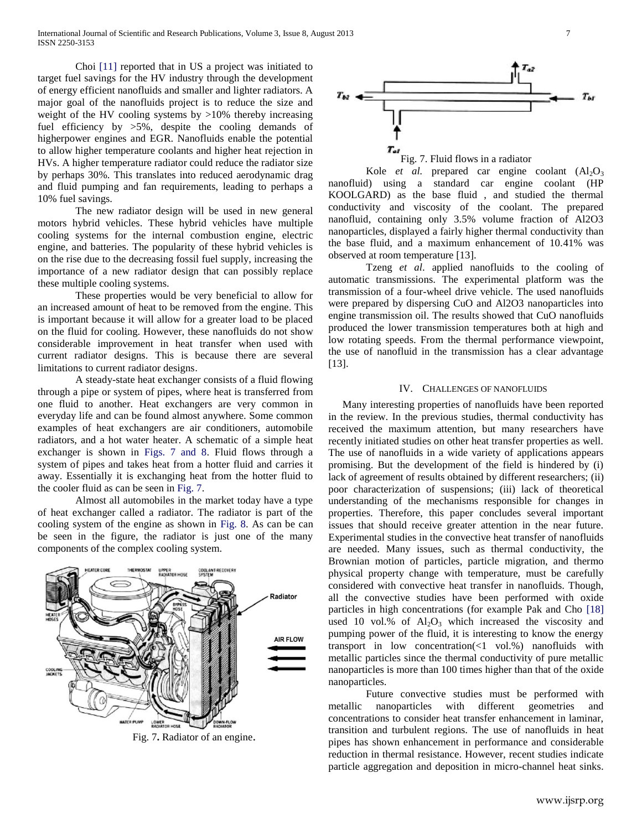Choi [11] reported that in US a project was initiated to target fuel savings for the HV industry through the development of energy efficient nanofluids and smaller and lighter radiators. A major goal of the nanofluids project is to reduce the size and weight of the HV cooling systems by >10% thereby increasing fuel efficiency by  $>5\%$ , despite the cooling demands of higherpower engines and EGR. Nanofluids enable the potential to allow higher temperature coolants and higher heat rejection in HVs. A higher temperature radiator could reduce the radiator size by perhaps 30%. This translates into reduced aerodynamic drag and fluid pumping and fan requirements, leading to perhaps a 10% fuel savings.

The new radiator design will be used in new general motors hybrid vehicles. These hybrid vehicles have multiple cooling systems for the internal combustion engine, electric engine, and batteries. The popularity of these hybrid vehicles is on the rise due to the decreasing fossil fuel supply, increasing the importance of a new radiator design that can possibly replace these multiple cooling systems.

These properties would be very beneficial to allow for an increased amount of heat to be removed from the engine. This is important because it will allow for a greater load to be placed on the fluid for cooling. However, these nanofluids do not show considerable improvement in heat transfer when used with current radiator designs. This is because there are several limitations to current radiator designs.

A steady-state heat exchanger consists of a fluid flowing through a pipe or system of pipes, where heat is transferred from one fluid to another. Heat exchangers are very common in everyday life and can be found almost anywhere. Some common examples of heat exchangers are air conditioners, automobile radiators, and a hot water heater. A schematic of a simple heat exchanger is shown in Figs. 7 and 8. Fluid flows through a system of pipes and takes heat from a hotter fluid and carries it away. Essentially it is exchanging heat from the hotter fluid to the cooler fluid as can be seen in Fig. 7.

Almost all automobiles in the market today have a type of heat exchanger called a radiator. The radiator is part of the cooling system of the engine as shown in Fig. 8. As can be can be seen in the figure, the radiator is just one of the many components of the complex cooling system.



Fig. 7**.** Radiator of an engine.



Kole *et al.* prepared car engine coolant  $(A<sub>2</sub>O<sub>3</sub>)$ nanofluid) using a standard car engine coolant (HP KOOLGARD) as the base fluid , and studied the thermal conductivity and viscosity of the coolant. The prepared nanofluid, containing only 3.5% volume fraction of Al2O3 nanoparticles, displayed a fairly higher thermal conductivity than the base fluid, and a maximum enhancement of 10*.*41% was observed at room temperature [13].

Tzeng *et al*. applied nanofluids to the cooling of automatic transmissions. The experimental platform was the transmission of a four-wheel drive vehicle. The used nanofluids were prepared by dispersing CuO and Al2O3 nanoparticles into engine transmission oil. The results showed that CuO nanofluids produced the lower transmission temperatures both at high and low rotating speeds. From the thermal performance viewpoint, the use of nanofluid in the transmission has a clear advantage [13].

### IV. CHALLENGES OF NANOFLUIDS

Many interesting properties of nanofluids have been reported in the review. In the previous studies, thermal conductivity has received the maximum attention, but many researchers have recently initiated studies on other heat transfer properties as well. The use of nanofluids in a wide variety of applications appears promising. But the development of the field is hindered by (i) lack of agreement of results obtained by different researchers; (ii) poor characterization of suspensions; (iii) lack of theoretical understanding of the mechanisms responsible for changes in properties. Therefore, this paper concludes several important issues that should receive greater attention in the near future. Experimental studies in the convective heat transfer of nanofluids are needed. Many issues, such as thermal conductivity, the Brownian motion of particles, particle migration, and thermo physical property change with temperature, must be carefully considered with convective heat transfer in nanofluids. Though, all the convective studies have been performed with oxide particles in high concentrations (for example Pak and Cho [18] used 10 vol.% of  $Al_2O_3$  which increased the viscosity and pumping power of the fluid, it is interesting to know the energy transport in low concentration(<1 vol.%) nanofluids with metallic particles since the thermal conductivity of pure metallic nanoparticles is more than 100 times higher than that of the oxide nanoparticles.

Future convective studies must be performed with metallic nanoparticles with different geometries and concentrations to consider heat transfer enhancement in laminar, transition and turbulent regions. The use of nanofluids in heat pipes has shown enhancement in performance and considerable reduction in thermal resistance. However, recent studies indicate particle aggregation and deposition in micro-channel heat sinks.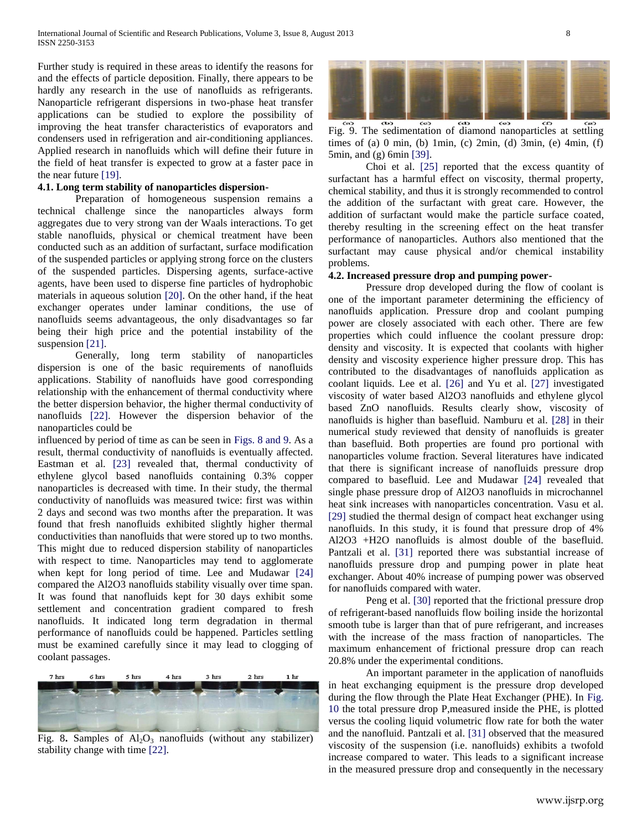Further study is required in these areas to identify the reasons for and the effects of particle deposition. Finally, there appears to be hardly any research in the use of nanofluids as refrigerants. Nanoparticle refrigerant dispersions in two-phase heat transfer applications can be studied to explore the possibility of improving the heat transfer characteristics of evaporators and condensers used in refrigeration and air-conditioning appliances. Applied research in nanofluids which will define their future in the field of heat transfer is expected to grow at a faster pace in the near future [19].

# **4.1. Long term stability of nanoparticles dispersion-**

Preparation of homogeneous suspension remains a technical challenge since the nanoparticles always form aggregates due to very strong van der Waals interactions. To get stable nanofluids, physical or chemical treatment have been conducted such as an addition of surfactant, surface modification of the suspended particles or applying strong force on the clusters of the suspended particles. Dispersing agents, surface-active agents, have been used to disperse fine particles of hydrophobic materials in aqueous solution [20]. On the other hand, if the heat exchanger operates under laminar conditions, the use of nanofluids seems advantageous, the only disadvantages so far being their high price and the potential instability of the suspension [21].

Generally, long term stability of nanoparticles dispersion is one of the basic requirements of nanofluids applications. Stability of nanofluids have good corresponding relationship with the enhancement of thermal conductivity where the better dispersion behavior, the higher thermal conductivity of nanofluids [22]. However the dispersion behavior of the nanoparticles could be

influenced by period of time as can be seen in Figs. 8 and 9. As a result, thermal conductivity of nanofluids is eventually affected. Eastman et al. [23] revealed that, thermal conductivity of ethylene glycol based nanofluids containing 0.3% copper nanoparticles is decreased with time. In their study, the thermal conductivity of nanofluids was measured twice: first was within 2 days and second was two months after the preparation. It was found that fresh nanofluids exhibited slightly higher thermal conductivities than nanofluids that were stored up to two months. This might due to reduced dispersion stability of nanoparticles with respect to time. Nanoparticles may tend to agglomerate when kept for long period of time. Lee and Mudawar [24] compared the Al2O3 nanofluids stability visually over time span. It was found that nanofluids kept for 30 days exhibit some settlement and concentration gradient compared to fresh nanofluids. It indicated long term degradation in thermal performance of nanofluids could be happened. Particles settling must be examined carefully since it may lead to clogging of coolant passages.



Fig. 8. Samples of  $Al_2O_3$  nanofluids (without any stabilizer) stability change with time [22].



Fig. 9. The sedimentation of diamond nanoparticles at settling times of (a) 0 min, (b) 1min, (c) 2min, (d) 3min, (e) 4min, (f) 5min, and (g) 6min [39].

Choi et al. [25] reported that the excess quantity of surfactant has a harmful effect on viscosity, thermal property, chemical stability, and thus it is strongly recommended to control the addition of the surfactant with great care. However, the addition of surfactant would make the particle surface coated, thereby resulting in the screening effect on the heat transfer performance of nanoparticles. Authors also mentioned that the surfactant may cause physical and/or chemical instability problems.

# **4.2. Increased pressure drop and pumping power-**

Pressure drop developed during the flow of coolant is one of the important parameter determining the efficiency of nanofluids application. Pressure drop and coolant pumping power are closely associated with each other. There are few properties which could influence the coolant pressure drop: density and viscosity. It is expected that coolants with higher density and viscosity experience higher pressure drop. This has contributed to the disadvantages of nanofluids application as coolant liquids. Lee et al. [26] and Yu et al. [27] investigated viscosity of water based Al2O3 nanofluids and ethylene glycol based ZnO nanofluids. Results clearly show, viscosity of nanofluids is higher than basefluid. Namburu et al. [28] in their numerical study reviewed that density of nanofluids is greater than basefluid. Both properties are found pro portional with nanoparticles volume fraction. Several literatures have indicated that there is significant increase of nanofluids pressure drop compared to basefluid. Lee and Mudawar [24] revealed that single phase pressure drop of Al2O3 nanofluids in microchannel heat sink increases with nanoparticles concentration. Vasu et al. [29] studied the thermal design of compact heat exchanger using nanofluids. In this study, it is found that pressure drop of 4% Al2O3 +H2O nanofluids is almost double of the basefluid. Pantzali et al. [31] reported there was substantial increase of nanofluids pressure drop and pumping power in plate heat exchanger. About 40% increase of pumping power was observed for nanofluids compared with water.

Peng et al. [30] reported that the frictional pressure drop of refrigerant-based nanofluids flow boiling inside the horizontal smooth tube is larger than that of pure refrigerant, and increases with the increase of the mass fraction of nanoparticles. The maximum enhancement of frictional pressure drop can reach 20.8% under the experimental conditions.

An important parameter in the application of nanofluids in heat exchanging equipment is the pressure drop developed during the flow through the Plate Heat Exchanger (PHE). In Fig. 10 the total pressure drop P,measured inside the PHE, is plotted versus the cooling liquid volumetric flow rate for both the water and the nanofluid. Pantzali et al. [31] observed that the measured viscosity of the suspension (i.e. nanofluids) exhibits a twofold increase compared to water. This leads to a significant increase in the measured pressure drop and consequently in the necessary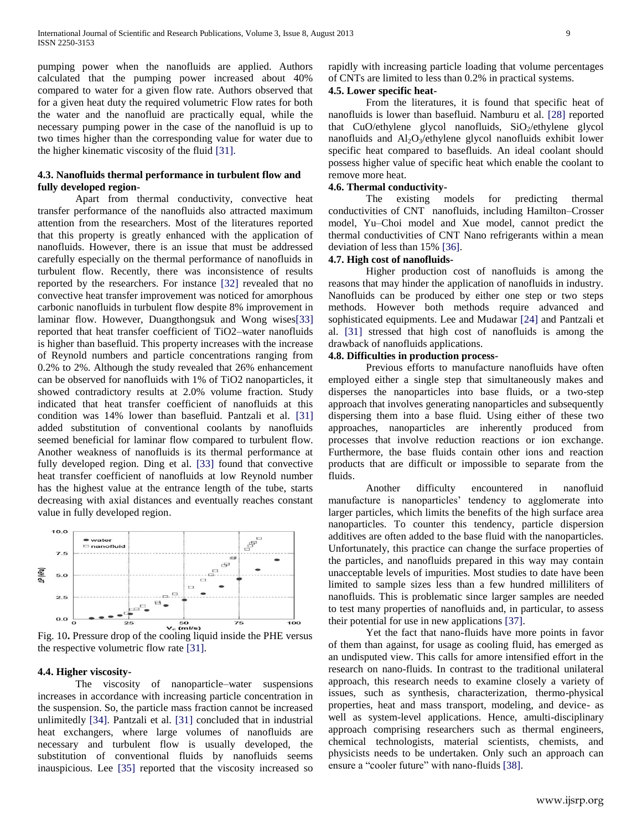pumping power when the nanofluids are applied. Authors calculated that the pumping power increased about 40% compared to water for a given flow rate. Authors observed that for a given heat duty the required volumetric Flow rates for both the water and the nanofluid are practically equal, while the necessary pumping power in the case of the nanofluid is up to two times higher than the corresponding value for water due to the higher kinematic viscosity of the fluid [31].

## **4.3. Nanofluids thermal performance in turbulent flow and fully developed region-**

Apart from thermal conductivity, convective heat transfer performance of the nanofluids also attracted maximum attention from the researchers. Most of the literatures reported that this property is greatly enhanced with the application of nanofluids. However, there is an issue that must be addressed carefully especially on the thermal performance of nanofluids in turbulent flow. Recently, there was inconsistence of results reported by the researchers. For instance [32] revealed that no convective heat transfer improvement was noticed for amorphous carbonic nanofluids in turbulent flow despite 8% improvement in laminar flow. However, Duangthongsuk and Wong wises[33] reported that heat transfer coefficient of TiO2–water nanofluids is higher than basefluid. This property increases with the increase of Reynold numbers and particle concentrations ranging from 0.2% to 2%. Although the study revealed that 26% enhancement can be observed for nanofluids with 1% of TiO2 nanoparticles, it showed contradictory results at 2.0% volume fraction. Study indicated that heat transfer coefficient of nanofluids at this condition was 14% lower than basefluid. Pantzali et al. [31] added substitution of conventional coolants by nanofluids seemed beneficial for laminar flow compared to turbulent flow. Another weakness of nanofluids is its thermal performance at fully developed region. Ding et al. [33] found that convective heat transfer coefficient of nanofluids at low Reynold number has the highest value at the entrance length of the tube, starts decreasing with axial distances and eventually reaches constant value in fully developed region.



the respective volumetric flow rate [31].

#### **4.4. Higher viscosity-**

The viscosity of nanoparticle–water suspensions increases in accordance with increasing particle concentration in the suspension. So, the particle mass fraction cannot be increased unlimitedly [34]. Pantzali et al. [31] concluded that in industrial heat exchangers, where large volumes of nanofluids are necessary and turbulent flow is usually developed, the substitution of conventional fluids by nanofluids seems inauspicious. Lee [35] reported that the viscosity increased so rapidly with increasing particle loading that volume percentages of CNTs are limited to less than 0.2% in practical systems.

# **4.5. Lower specific heat-**

From the literatures, it is found that specific heat of nanofluids is lower than basefluid. Namburu et al. [28] reported that CuO/ethylene glycol nanofluids,  $SiO_2/eth$ ylene glycol nanofluids and  $Al_2O_3$ /ethylene glycol nanofluids exhibit lower specific heat compared to basefluids. An ideal coolant should possess higher value of specific heat which enable the coolant to remove more heat.

#### **4.6. Thermal conductivity-**

The existing models for predicting thermal conductivities of CNT nanofluids, including Hamilton–Crosser model, Yu–Choi model and Xue model, cannot predict the thermal conductivities of CNT Nano refrigerants within a mean deviation of less than 15% [36].

## **4.7. High cost of nanofluids-**

Higher production cost of nanofluids is among the reasons that may hinder the application of nanofluids in industry. Nanofluids can be produced by either one step or two steps methods. However both methods require advanced and sophisticated equipments. Lee and Mudawar [24] and Pantzali et al. [31] stressed that high cost of nanofluids is among the drawback of nanofluids applications.

## **4.8. Difficulties in production process-**

Previous efforts to manufacture nanofluids have often employed either a single step that simultaneously makes and disperses the nanoparticles into base fluids, or a two-step approach that involves generating nanoparticles and subsequently dispersing them into a base fluid. Using either of these two approaches, nanoparticles are inherently produced from processes that involve reduction reactions or ion exchange. Furthermore, the base fluids contain other ions and reaction products that are difficult or impossible to separate from the fluids.

Another difficulty encountered in nanofluid manufacture is nanoparticles' tendency to agglomerate into larger particles, which limits the benefits of the high surface area nanoparticles. To counter this tendency, particle dispersion additives are often added to the base fluid with the nanoparticles. Unfortunately, this practice can change the surface properties of the particles, and nanofluids prepared in this way may contain unacceptable levels of impurities. Most studies to date have been limited to sample sizes less than a few hundred milliliters of nanofluids. This is problematic since larger samples are needed to test many properties of nanofluids and, in particular, to assess their potential for use in new applications [37].

Yet the fact that nano-fluids have more points in favor of them than against, for usage as cooling fluid, has emerged as an undisputed view. This calls for amore intensified effort in the research on nano-fluids. In contrast to the traditional unilateral approach, this research needs to examine closely a variety of issues, such as synthesis, characterization, thermo-physical properties, heat and mass transport, modeling, and device- as well as system-level applications. Hence, amulti-disciplinary approach comprising researchers such as thermal engineers, chemical technologists, material scientists, chemists, and physicists needs to be undertaken. Only such an approach can ensure a "cooler future" with nano-fluids [38].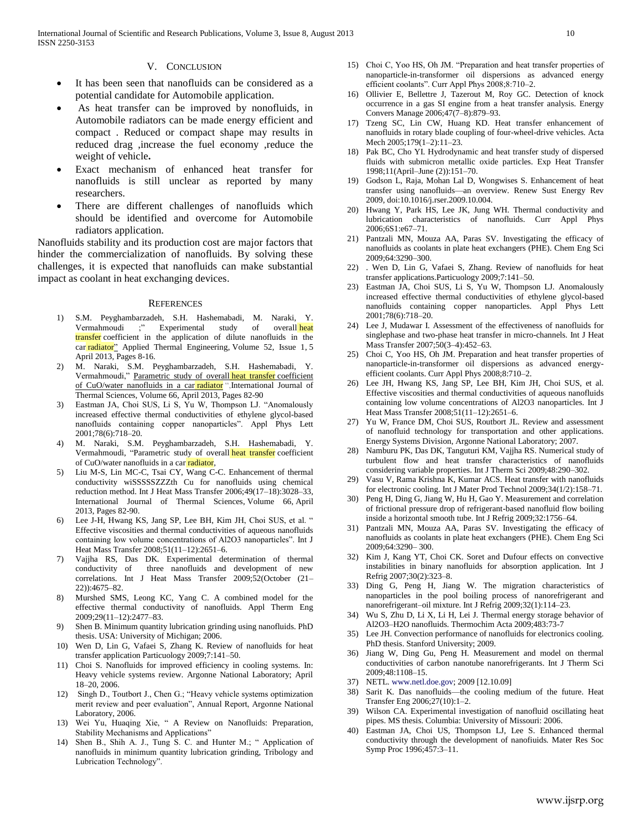#### V. CONCLUSION

- It has been seen that nanofluids can be considered as a potential candidate for Automobile application.
- As heat transfer can be improved by nonofluids, in Automobile radiators can be made energy efficient and compact . Reduced or compact shape may results in reduced drag ,increase the fuel economy ,reduce the weight of vehicle**.**
- Exact mechanism of enhanced heat transfer for nanofluids is still unclear as reported by many researchers.
- There are different challenges of nanofluids which should be identified and overcome for Automobile radiators application.

Nanofluids stability and its production cost are major factors that hinder the commercialization of nanofluids. By solving these challenges, it is expected that nanofluids can make substantial impact as coolant in heat exchanging devices.

#### **REFERENCES**

- 1) S.M. Peyghambarzadeh, S.H. Hashemabadi, M. Naraki, Y. Vermahmoudi ;" Experimental study of overall heat transfer coefficient in the application of dilute nanofluids in the car radiator" Applied Thermal Engineering, Volume 52, Issue 1, 5 April 2013, Pages 8-16.
- 2) M. Naraki, S.M. Peyghambarzadeh, S.H. Hashemabadi, Y. Vermahmoudi," [Parametric study of overall](http://www.sciencedirect.com/science/article/pii/S1290072912003249) heat transfer coefficient [of CuO/water nanofluids in a car](http://www.sciencedirect.com/science/article/pii/S1290072912003249) radiator ",International Journal of Thermal Sciences, Volume 66, April 2013, Pages 82-90
- 3) Eastman JA, Choi SUS, Li S, Yu W, Thompson LJ. "Anomalously increased effective thermal conductivities of ethylene glycol-based nanofluids containing copper nanoparticles". Appl Phys Lett 2001;78(6):718–20.
- 4) M. Naraki, S.M. Peyghambarzadeh, S.H. Hashemabadi, Y. Vermahmoudi, "Parametric study of overall heat transfer coefficient of CuO/water nanofluids in a car radiator,
- 5) Liu M-S, Lin MC-C, Tsai CY, Wang C-C. Enhancement of thermal conductivity wiSSSSSZZZth Cu for nanofluids using chemical reduction method. Int J Heat Mass Transfer 2006;49(17–18):3028–33, International Journal of Thermal Sciences, Volume 66, April 2013, Pages 82-90.
- 6) Lee J-H, Hwang KS, Jang SP, Lee BH, Kim JH, Choi SUS, et al. " Effective viscosities and thermal conductivities of aqueous nanofluids containing low volume concentrations of Al2O3 nanoparticles". Int J Heat Mass Transfer 2008;51(11–12):2651–6.
- 7) Vajjha RS, Das DK. Experimental determination of thermal conductivity of three nanofluids and development of new correlations. Int J Heat Mass Transfer 2009;52(October (21– 22)):4675–82.
- 8) Murshed SMS, Leong KC, Yang C. A combined model for the effective thermal conductivity of nanofluids. Appl Therm Eng 2009;29(11–12):2477–83.
- 9) Shen B. Minimum quantity lubrication grinding using nanofluids. PhD thesis. USA: University of Michigan; 2006.
- 10) Wen D, Lin G, Vafaei S, Zhang K. Review of nanofluids for heat transfer application Particuology 2009;7:141–50.
- 11) Choi S. Nanofluids for improved efficiency in cooling systems. In: Heavy vehicle systems review. Argonne National Laboratory; April 18–20, 2006.
- 12) Singh D., Toutbort J., Chen G.; "Heavy vehicle systems optimization merit review and peer evaluation", Annual Report, Argonne National Laboratory, 2006.
- 13) Wei Yu, Huaqing Xie, " A Review on Nanofluids: Preparation, Stability Mechanisms and Applications"
- 14) Shen B., Shih A. J., Tung S. C. and Hunter M.; " Application of nanofluids in minimum quantity lubrication grinding, Tribology and Lubrication Technology".
- 15) Choi C, Yoo HS, Oh JM. "Preparation and heat transfer properties of nanoparticle-in-transformer oil dispersions as advanced energy efficient coolants". Curr Appl Phys 2008;8:710–2.
- 16) Ollivier E, Bellettre J, Tazerout M, Roy GC. Detection of knock occurrence in a gas SI engine from a heat transfer analysis. Energy Convers Manage 2006;47(7–8):879–93.
- 17) Tzeng SC, Lin CW, Huang KD. Heat transfer enhancement of nanofluids in rotary blade coupling of four-wheel-drive vehicles. Acta Mech 2005;179(1–2):11–23.
- 18) Pak BC, Cho YI. Hydrodynamic and heat transfer study of dispersed fluids with submicron metallic oxide particles. Exp Heat Transfer 1998;11(April–June (2)):151–70.
- 19) Godson L, Raja, Mohan Lal D, Wongwises S. Enhancement of heat transfer using nanofluids—an overview. Renew Sust Energy Rev 2009, doi:10.1016/j.rser.2009.10.004.
- 20) Hwang Y, Park HS, Lee JK, Jung WH. Thermal conductivity and lubrication characteristics of nanofluids. Curr Appl Phys 2006;6S1:e67–71.
- 21) Pantzali MN, Mouza AA, Paras SV. Investigating the efficacy of nanofluids as coolants in plate heat exchangers (PHE). Chem Eng Sci 2009;64:3290–300.
- 22) . Wen D, Lin G, Vafaei S, Zhang. Review of nanofluids for heat transfer applications.Particuology 2009;7:141–50.
- 23) Eastman JA, Choi SUS, Li S, Yu W, Thompson LJ. Anomalously increased effective thermal conductivities of ethylene glycol-based nanofluids containing copper nanoparticles. Appl Phys Lett 2001;78(6):718–20.
- 24) Lee J, Mudawar I. Assessment of the effectiveness of nanofluids for singlephase and two-phase heat transfer in micro-channels. Int J Heat Mass Transfer 2007;50(3–4):452–63.
- 25) Choi C, Yoo HS, Oh JM. Preparation and heat transfer properties of nanoparticle-in-transformer oil dispersions as advanced energyefficient coolants. Curr Appl Phys 2008;8:710–2.
- 26) Lee JH, Hwang KS, Jang SP, Lee BH, Kim JH, Choi SUS, et al. Effective viscosities and thermal conductivities of aqueous nanofluids containing low volume concentrations of Al2O3 nanoparticles. Int J Heat Mass Transfer 2008;51(11–12):2651–6.
- 27) Yu W, France DM, Choi SUS, Routbort JL. Review and assessment of nanofluid technology for transportation and other applications. Energy Systems Division, Argonne National Laboratory; 2007.
- 28) Namburu PK, Das DK, Tanguturi KM, Vajjha RS. Numerical study of turbulent flow and heat transfer characteristics of nanofluids considering variable properties. Int J Therm Sci 2009;48:290–302.
- 29) Vasu V, Rama Krishna K, Kumar ACS. Heat transfer with nanofluids for electronic cooling. Int J Mater Prod Technol 2009;34(1/2):158–71.
- 30) Peng H, Ding G, Jiang W, Hu H, Gao Y. Measurement and correlation of frictional pressure drop of refrigerant-based nanofluid flow boiling inside a horizontal smooth tube. Int J Refrig 2009;32:1756–64.
- 31) Pantzali MN, Mouza AA, Paras SV. Investigating the efficacy of nanofluids as coolants in plate heat exchangers (PHE). Chem Eng Sci 2009;64:3290– 300.
- 32) Kim J, Kang YT, Choi CK. Soret and Dufour effects on convective instabilities in binary nanofluids for absorption application. Int J Refrig 2007;30(2):323–8.
- 33) Ding G, Peng H, Jiang W. The migration characteristics of nanoparticles in the pool boiling process of nanorefrigerant and nanorefrigerant–oil mixture. Int J Refrig 2009;32(1):114–23.
- 34) Wu S, Zhu D, Li X, Li H, Lei J. Thermal energy storage behavior of Al2O3–H2O nanofluids. Thermochim Acta 2009;483:73-7
- 35) Lee JH. Convection performance of nanofluids for electronics cooling. PhD thesis. Stanford University; 2009.
- 36) Jiang W, Ding Gu, Peng H. Measurement and model on thermal conductivities of carbon nanotube nanorefrigerants. Int J Therm Sci 2009;48:1108–15.
- 37) NETL. www.netl.doe.gov; 2009 [12.10.09]
- 38) Sarit K. Das nanofluids—the cooling medium of the future. Heat Transfer Eng 2006;27(10):1–2.
- 39) Wilson CA. Experimental investigation of nanofluid oscillating heat pipes. MS thesis. Columbia: University of Missouri: 2006.
- 40) Eastman JA, Choi US, Thompson LJ, Lee S. Enhanced thermal conductivity through the development of nanofiuids. Mater Res Soc Symp Proc 1996;457:3–11.